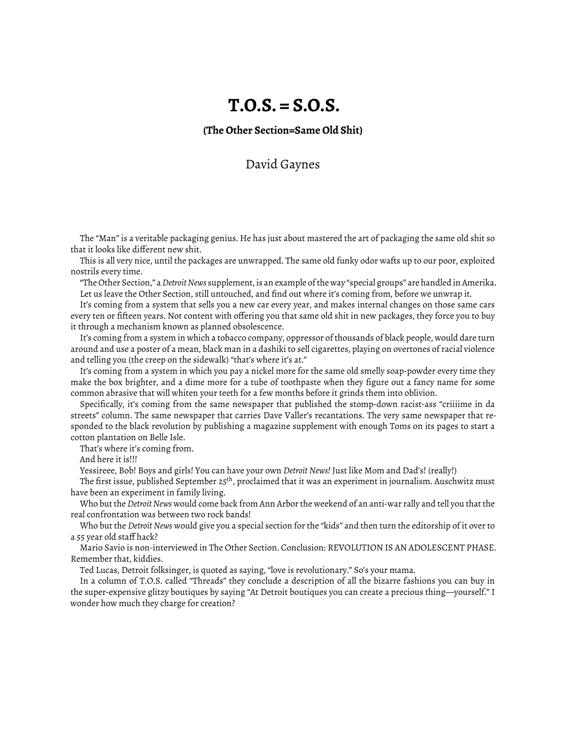## **T.O.S. = S.O.S.**

**(The Other Section=Same Old Shit)**

## David Gaynes

The "Man" is a veritable packaging genius. He has just about mastered the art of packaging the same old shit so that it looks like different new shit.

This is all very nice, until the packages are unwrapped. The same old funky odor wafts up to our poor, exploited nostrils every time.

"The Other Section," a*Detroit News* supplement, is an example of the way "special groups" are handled in Amerika. Let us leave the Other Section, still untouched, and find out where it's coming from, before we unwrap it.

It's coming from a system that sells you a new car every year, and makes internal changes on those same cars every ten or fifteen years. Not content with offering you that same old shit in new packages, they force you to buy it through a mechanism known as planned obsolescence.

It's coming from a system in which a tobacco company, oppressor of thousands of black people, would dare turn around and use a poster of a mean, black man in a dashiki to sell cigarettes, playing on overtones of racial violence and telling you (the creep on the sidewalk) "that's where it's at."

It's coming from a system in which you pay a nickel more for the same old smelly soap-powder every time they make the box brighter, and a dime more for a tube of toothpaste when they figure out a fancy name for some common abrasive that will whiten your teeth for a few months before it grinds them into oblivion.

Specifically, it's coming from the same newspaper that published the stomp-down racist-ass "criiiime in da streets" column. The same newspaper that carries Dave Valler's recantations. The very same newspaper that responded to the black revolution by publishing a magazine supplement with enough Toms on its pages to start a cotton plantation on Belle Isle.

That's where it's coming from.

And here it is!!!

Yessireee, Bob! Boys and girls! You can have your own *Detroit News!* Just like Mom and Dad's! (really!)

The first issue, published September 25<sup>th</sup>, proclaimed that it was an experiment in journalism. Auschwitz must have been an experiment in family living.

Who but the *Detroit News* would come back from Ann Arbor the weekend of an anti-war rally and tell you that the real confrontation was between two rock bands!

Who but the *Detroit News* would give you a special section for the "kids" and then turn the editorship of it over to a 55 year old staff hack?

Mario Savio is non-interviewed in The Other Section. Conclusion: REVOLUTION IS AN ADOLESCENT PHASE. Remember that, kiddies.

Ted Lucas, Detroit folksinger, is quoted as saying, "love is revolutionary." So's your mama.

In a column of T.O.S. called "Threads" they conclude a description of all the bizarre fashions you can buy in the super-expensive glitzy boutiques by saying "At Detroit boutiques you can create a precious thing—yourself." I wonder how much they charge for creation?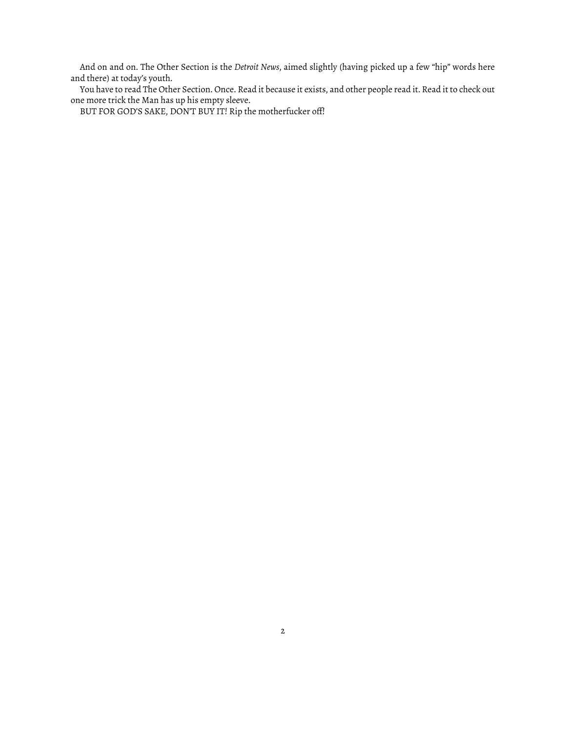And on and on. The Other Section is the *Detroit News*, aimed slightly (having picked up a few "hip" words here and there) at today's youth.

You have to read The Other Section. Once. Read it because it exists, and other people read it. Read it to check out one more trick the Man has up his empty sleeve.

BUT FOR GOD'S SAKE, DON'T BUY IT! Rip the motherfucker off!